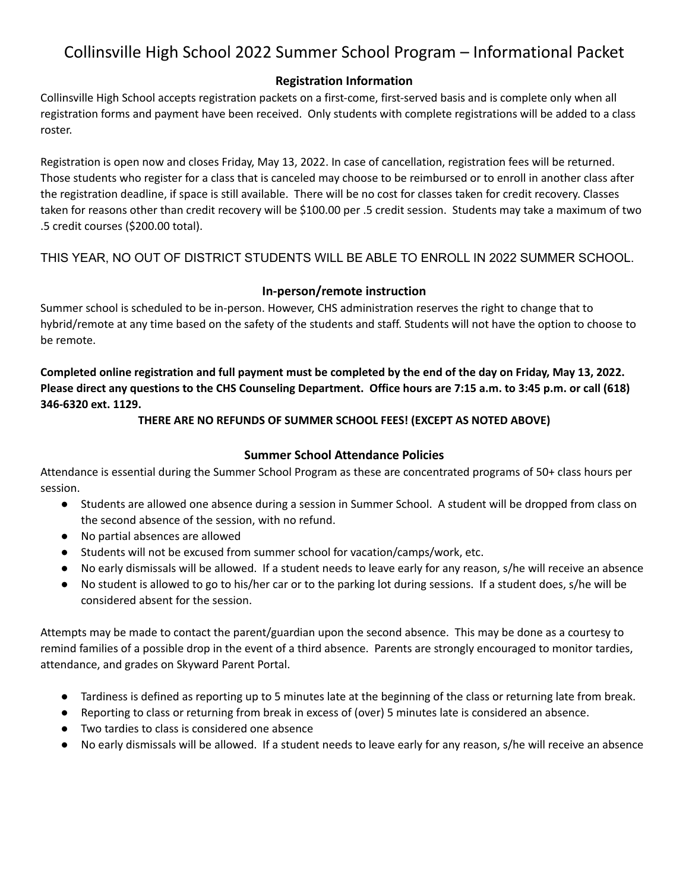# Collinsville High School 2022 Summer School Program – Informational Packet

# **Registration Information**

Collinsville High School accepts registration packets on a first-come, first-served basis and is complete only when all registration forms and payment have been received. Only students with complete registrations will be added to a class roster.

Registration is open now and closes Friday, May 13, 2022. In case of cancellation, registration fees will be returned. Those students who register for a class that is canceled may choose to be reimbursed or to enroll in another class after the registration deadline, if space is still available. There will be no cost for classes taken for credit recovery. Classes taken for reasons other than credit recovery will be \$100.00 per .5 credit session. Students may take a maximum of two .5 credit courses (\$200.00 total).

THIS YEAR, NO OUT OF DISTRICT STUDENTS WILL BE ABLE TO ENROLL IN 2022 SUMMER SCHOOL.

# **In-person/remote instruction**

Summer school is scheduled to be in-person. However, CHS administration reserves the right to change that to hybrid/remote at any time based on the safety of the students and staff. Students will not have the option to choose to be remote.

Completed online registration and full payment must be completed by the end of the day on Friday, May 13, 2022. Please direct any questions to the CHS Counseling Department. Office hours are 7:15 a.m. to 3:45 p.m. or call (618) **346-6320 ext. 1129.**

## **THERE ARE NO REFUNDS OF SUMMER SCHOOL FEES! (EXCEPT AS NOTED ABOVE)**

# **Summer School Attendance Policies**

Attendance is essential during the Summer School Program as these are concentrated programs of 50+ class hours per session.

- Students are allowed one absence during a session in Summer School. A student will be dropped from class on the second absence of the session, with no refund.
- No partial absences are allowed
- Students will not be excused from summer school for vacation/camps/work, etc.
- No early dismissals will be allowed. If a student needs to leave early for any reason, s/he will receive an absence
- No student is allowed to go to his/her car or to the parking lot during sessions. If a student does, s/he will be considered absent for the session.

Attempts may be made to contact the parent/guardian upon the second absence. This may be done as a courtesy to remind families of a possible drop in the event of a third absence. Parents are strongly encouraged to monitor tardies, attendance, and grades on Skyward Parent Portal.

- Tardiness is defined as reporting up to 5 minutes late at the beginning of the class or returning late from break.
- Reporting to class or returning from break in excess of (over) 5 minutes late is considered an absence.
- Two tardies to class is considered one absence
- No early dismissals will be allowed. If a student needs to leave early for any reason, s/he will receive an absence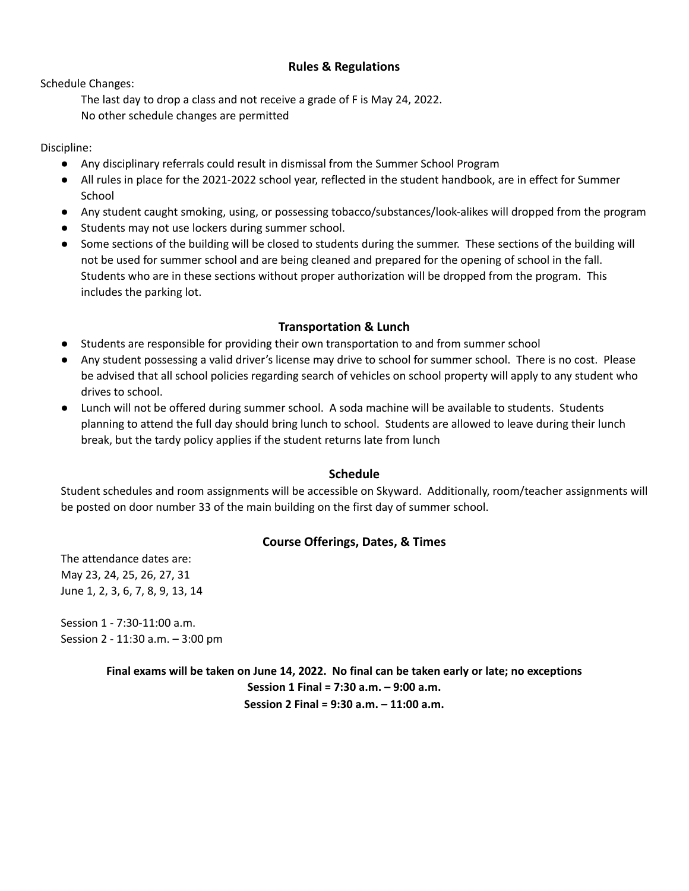## **Rules & Regulations**

Schedule Changes:

The last day to drop a class and not receive a grade of F is May 24, 2022. No other schedule changes are permitted

Discipline:

- Any disciplinary referrals could result in dismissal from the Summer School Program
- All rules in place for the 2021-2022 school year, reflected in the student handbook, are in effect for Summer School
- Any student caught smoking, using, or possessing tobacco/substances/look-alikes will dropped from the program
- Students may not use lockers during summer school.
- Some sections of the building will be closed to students during the summer. These sections of the building will not be used for summer school and are being cleaned and prepared for the opening of school in the fall. Students who are in these sections without proper authorization will be dropped from the program. This includes the parking lot.

#### **Transportation & Lunch**

- Students are responsible for providing their own transportation to and from summer school
- Any student possessing a valid driver's license may drive to school for summer school. There is no cost. Please be advised that all school policies regarding search of vehicles on school property will apply to any student who drives to school.
- Lunch will not be offered during summer school. A soda machine will be available to students. Students planning to attend the full day should bring lunch to school. Students are allowed to leave during their lunch break, but the tardy policy applies if the student returns late from lunch

#### **Schedule**

Student schedules and room assignments will be accessible on Skyward. Additionally, room/teacher assignments will be posted on door number 33 of the main building on the first day of summer school.

# **Course Offerings, Dates, & Times**

The attendance dates are: May 23, 24, 25, 26, 27, 31 June 1, 2, 3, 6, 7, 8, 9, 13, 14

Session 1 - 7:30-11:00 a.m. Session 2 - 11:30 a.m. – 3:00 pm

> Final exams will be taken on June 14, 2022. No final can be taken early or late; no exceptions **Session 1 Final = 7:30 a.m. – 9:00 a.m. Session 2 Final = 9:30 a.m. – 11:00 a.m.**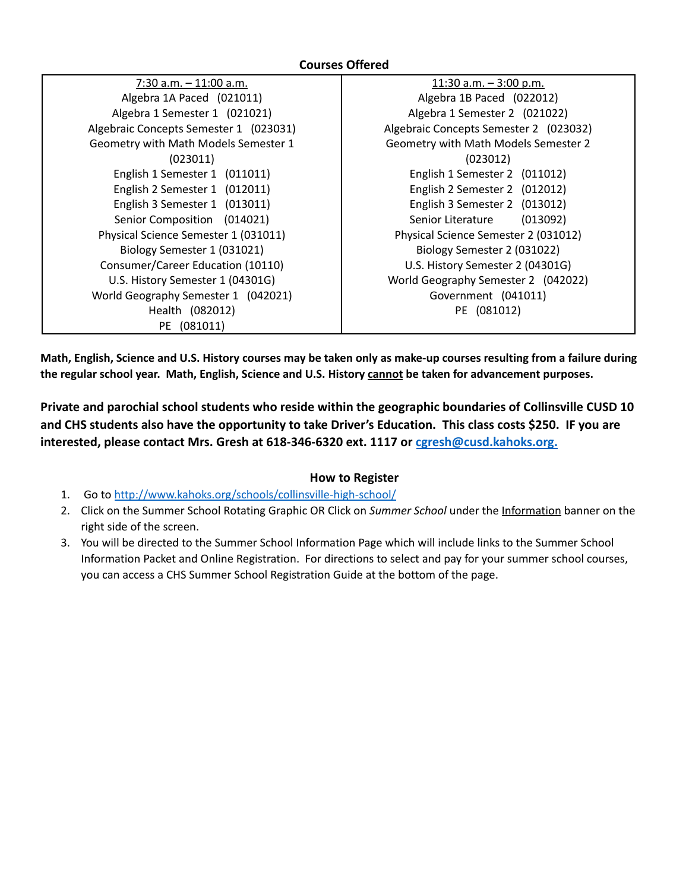## **Courses Offered**

| 7:30 a.m. - 11:00 a.m.                 |
|----------------------------------------|
| Algebra 1A Paced (021011)              |
| Algebra 1 Semester 1 (021021)          |
| Algebraic Concepts Semester 1 (023031) |
| Geometry with Math Models Semester 1   |
| (023011)                               |
| English 1 Semester 1 (011011)          |
| English 2 Semester 1 (012011)          |
| English 3 Semester 1 (013011)          |
| Senior Composition (014021)            |
| Physical Science Semester 1 (031011)   |
| Biology Semester 1 (031021)            |
| Consumer/Career Education (10110)      |
| U.S. History Semester 1 (04301G)       |
| World Geography Semester 1 (042021)    |
| Health (082012)                        |
| PE (081011)                            |

11:30 a.m. – 3:00 p.m. Algebra 1B Paced (022012) Algebra 1 Semester 2 (021022) Algebraic Concepts Semester 2 (023032) Geometry with Math Models Semester 2 (023012) English 1 Semester 2 (011012) English 2 Semester 2 (012012) English 3 Semester 2 (013012) Senior Literature (013092) Physical Science Semester 2 (031012) Biology Semester 2 (031022) U.S. History Semester 2 (04301G) World Geography Semester 2 (042022) Government (041011) PE (081012)

Math, English, Science and U.S. History courses may be taken only as make-up courses resulting from a failure during **the regular school year. Math, English, Science and U.S. History cannot be taken for advancement purposes.**

**Private and parochial school students who reside within the geographic boundaries of Collinsville CUSD 10 and CHS students also have the opportunity to take Driver's Education. This class costs \$250. IF you are interested, please contact Mrs. Gresh at 618-346-6320 ext. 1117 or [cgresh@cusd.kahoks.org.](mailto:cgresh@cusd.kahoks.org)**

#### **How to Register**

- 1. Go to <http://www.kahoks.org/schools/collinsville-high-school/>
- 2. Click on the Summer School Rotating Graphic OR Click on *Summer School* under the Information banner on the right side of the screen.
- 3. You will be directed to the Summer School Information Page which will include links to the Summer School Information Packet and Online Registration. For directions to select and pay for your summer school courses, you can access a CHS Summer School Registration Guide at the bottom of the page.